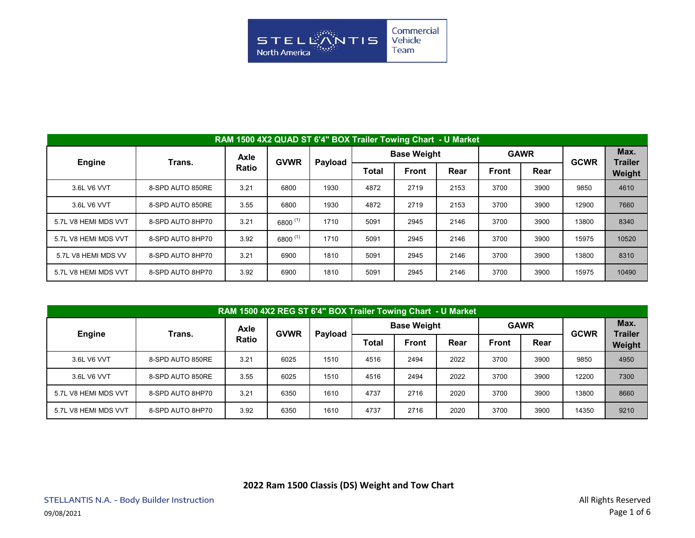

|                      | RAM 1500 4X2 QUAD ST 6'4" BOX Trailer Towing Chart - U Market |              |             |         |       |                    |      |              |             |             |                        |  |  |  |  |
|----------------------|---------------------------------------------------------------|--------------|-------------|---------|-------|--------------------|------|--------------|-------------|-------------|------------------------|--|--|--|--|
|                      | Trans.                                                        | Axle         | <b>GVWR</b> |         |       | <b>Base Weight</b> |      |              | <b>GAWR</b> | <b>GCWR</b> | Max.<br><b>Trailer</b> |  |  |  |  |
| Engine               |                                                               | <b>Ratio</b> |             | Payload | Total | <b>Front</b>       | Rear | <b>Front</b> | Rear        |             | Weight                 |  |  |  |  |
| 3.6L V6 VVT          | 8-SPD AUTO 850RE                                              | 3.21         | 6800        | 1930    | 4872  | 2719               | 2153 | 3700         | 3900        | 9850        | 4610                   |  |  |  |  |
| 3.6L V6 VVT          | 8-SPD AUTO 850RE                                              | 3.55         | 6800        | 1930    | 4872  | 2719               | 2153 | 3700         | 3900        | 12900       | 7660                   |  |  |  |  |
| 5.7L V8 HEMI MDS VVT | 8-SPD AUTO 8HP70                                              | 3.21         | 6800 (1)    | 1710    | 5091  | 2945               | 2146 | 3700         | 3900        | 13800       | 8340                   |  |  |  |  |
| 5.7L V8 HEMI MDS VVT | 8-SPD AUTO 8HP70                                              | 3.92         | 6800 (1)    | 1710    | 5091  | 2945               | 2146 | 3700         | 3900        | 15975       | 10520                  |  |  |  |  |
| 5.7L V8 HEMI MDS VV  | 8-SPD AUTO 8HP70                                              | 3.21         | 6900        | 1810    | 5091  | 2945               | 2146 | 3700         | 3900        | 13800       | 8310                   |  |  |  |  |
| 5.7L V8 HEMI MDS VVT | 8-SPD AUTO 8HP70                                              | 3.92         | 6900        | 1810    | 5091  | 2945               | 2146 | 3700         | 3900        | 15975       | 10490                  |  |  |  |  |

|                      | RAM 1500 4X2 REG ST 6'4" BOX Trailer Towing Chart - U Market |              |             |         |       |                    |      |       |             |             |                        |  |  |  |  |
|----------------------|--------------------------------------------------------------|--------------|-------------|---------|-------|--------------------|------|-------|-------------|-------------|------------------------|--|--|--|--|
| Engine               | Trans.                                                       | <b>Axle</b>  | <b>GVWR</b> | Payload |       | <b>Base Weight</b> |      |       | <b>GAWR</b> | <b>GCWR</b> | Max.<br><b>Trailer</b> |  |  |  |  |
|                      |                                                              | <b>Ratio</b> |             |         | Total | <b>Front</b>       | Rear | Front | Rear        |             | Weight                 |  |  |  |  |
| 3.6L V6 VVT          | 8-SPD AUTO 850RE                                             | 3.21         | 6025        | 1510    | 4516  | 2494               | 2022 | 3700  | 3900        | 9850        | 4950                   |  |  |  |  |
| 3.6L V6 VVT          | 8-SPD AUTO 850RE                                             | 3.55         | 6025        | 1510    | 4516  | 2494               | 2022 | 3700  | 3900        | 12200       | 7300                   |  |  |  |  |
| 5.7L V8 HEMI MDS VVT | 8-SPD AUTO 8HP70                                             | 3.21         | 6350        | 1610    | 4737  | 2716               | 2020 | 3700  | 3900        | 13800       | 8660                   |  |  |  |  |
| 5.7L V8 HEMI MDS VVT | 8-SPD AUTO 8HP70                                             | 3.92         | 6350        | 1610    | 4737  | 2716               | 2020 | 3700  | 3900        | 14350       | 9210                   |  |  |  |  |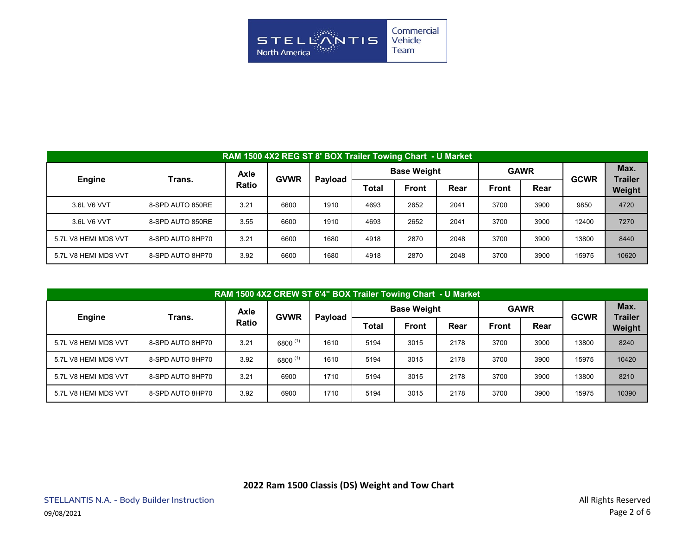

| RAM 1500 4X2 REG ST 8' BOX Trailer Towing Chart - U Market |                  |              |             |         |       |                    |      |              |             |             |                        |  |  |  |
|------------------------------------------------------------|------------------|--------------|-------------|---------|-------|--------------------|------|--------------|-------------|-------------|------------------------|--|--|--|
| Engine                                                     | Trans.           | <b>Axle</b>  | <b>GVWR</b> | Payload |       | <b>Base Weight</b> |      |              | <b>GAWR</b> | <b>GCWR</b> | Max.<br><b>Trailer</b> |  |  |  |
|                                                            |                  | <b>Ratio</b> |             |         | Total | <b>Front</b>       | Rear | <b>Front</b> | Rear        |             | Weight                 |  |  |  |
| 3.6L V6 VVT                                                | 8-SPD AUTO 850RE | 3.21         | 6600        | 1910    | 4693  | 2652               | 2041 | 3700         | 3900        | 9850        | 4720                   |  |  |  |
| 3.6L V6 VVT                                                | 8-SPD AUTO 850RE | 3.55         | 6600        | 1910    | 4693  | 2652               | 2041 | 3700         | 3900        | 12400       | 7270                   |  |  |  |
| 5.7L V8 HEMI MDS VVT                                       | 8-SPD AUTO 8HP70 | 3.21         | 6600        | 1680    | 4918  | 2870               | 2048 | 3700         | 3900        | 13800       | 8440                   |  |  |  |
| 5.7L V8 HEMI MDS VVT                                       | 8-SPD AUTO 8HP70 | 3.92         | 6600        | 1680    | 4918  | 2870               | 2048 | 3700         | 3900        | 15975       | 10620                  |  |  |  |

|                      | RAM 1500 4X2 CREW ST 6'4" BOX Trailer Towing Chart - U Market |              |             |         |       |                    |      |              |             |             |                        |  |  |  |  |
|----------------------|---------------------------------------------------------------|--------------|-------------|---------|-------|--------------------|------|--------------|-------------|-------------|------------------------|--|--|--|--|
| <b>Engine</b>        | Trans.                                                        | Axle         | <b>GVWR</b> | Payload |       | <b>Base Weight</b> |      |              | <b>GAWR</b> | <b>GCWR</b> | Max.<br><b>Trailer</b> |  |  |  |  |
|                      |                                                               | <b>Ratio</b> |             |         | Total | Front              | Rear | <b>Front</b> | Rear        |             | Weight                 |  |  |  |  |
| 5.7L V8 HEMI MDS VVT | 8-SPD AUTO 8HP70                                              | 3.21         | 6800 (1)    | 1610    | 5194  | 3015               | 2178 | 3700         | 3900        | 13800       | 8240                   |  |  |  |  |
| 5.7L V8 HEMI MDS VVT | 8-SPD AUTO 8HP70                                              | 3.92         | 6800 (1)    | 1610    | 5194  | 3015               | 2178 | 3700         | 3900        | 15975       | 10420                  |  |  |  |  |
| 5.7L V8 HEMI MDS VVT | 8-SPD AUTO 8HP70                                              | 3.21         | 6900        | 1710    | 5194  | 3015               | 2178 | 3700         | 3900        | 13800       | 8210                   |  |  |  |  |
| 5.7L V8 HEMI MDS VVT | 8-SPD AUTO 8HP70                                              | 3.92         | 6900        | 1710    | 5194  | 3015               | 2178 | 3700         | 3900        | 15975       | 10390                  |  |  |  |  |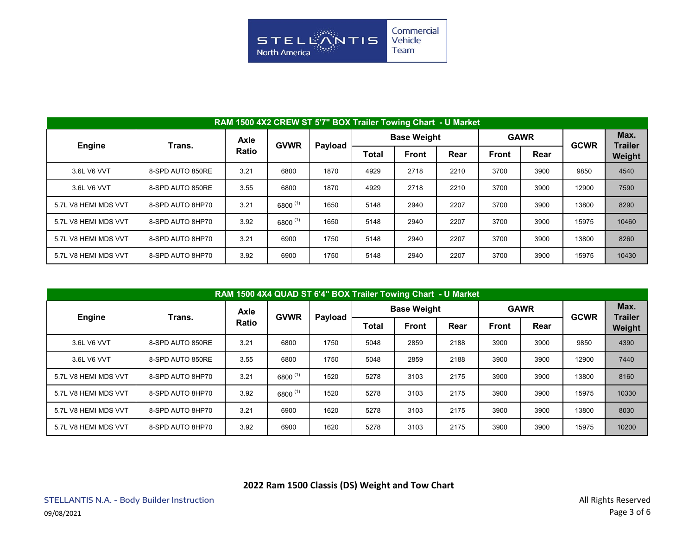

|                      | RAM 1500 4X2 CREW ST 5'7" BOX Trailer Towing Chart - U Market |              |             |         |       |                    |      |              |             |             |                        |  |  |  |  |
|----------------------|---------------------------------------------------------------|--------------|-------------|---------|-------|--------------------|------|--------------|-------------|-------------|------------------------|--|--|--|--|
| <b>Engine</b>        | Trans.                                                        | Axle         | <b>GVWR</b> | Payload |       | <b>Base Weight</b> |      |              | <b>GAWR</b> | <b>GCWR</b> | Max.<br><b>Trailer</b> |  |  |  |  |
|                      |                                                               | <b>Ratio</b> |             |         | Total | <b>Front</b>       | Rear | <b>Front</b> | Rear        |             | Weight                 |  |  |  |  |
| 3.6L V6 VVT          | 8-SPD AUTO 850RE                                              | 3.21         | 6800        | 1870    | 4929  | 2718               | 2210 | 3700         | 3900        | 9850        | 4540                   |  |  |  |  |
| 3.6L V6 VVT          | 8-SPD AUTO 850RE                                              | 3.55         | 6800        | 1870    | 4929  | 2718               | 2210 | 3700         | 3900        | 12900       | 7590                   |  |  |  |  |
| 5.7L V8 HEMI MDS VVT | 8-SPD AUTO 8HP70                                              | 3.21         | 6800 (1)    | 1650    | 5148  | 2940               | 2207 | 3700         | 3900        | 13800       | 8290                   |  |  |  |  |
| 5.7L V8 HEMI MDS VVT | 8-SPD AUTO 8HP70                                              | 3.92         | 6800 (1)    | 1650    | 5148  | 2940               | 2207 | 3700         | 3900        | 15975       | 10460                  |  |  |  |  |
| 5.7L V8 HEMI MDS VVT | 8-SPD AUTO 8HP70                                              | 3.21         | 6900        | 1750    | 5148  | 2940               | 2207 | 3700         | 3900        | 13800       | 8260                   |  |  |  |  |
| 5.7L V8 HEMI MDS VVT | 8-SPD AUTO 8HP70                                              | 3.92         | 6900        | 1750    | 5148  | 2940               | 2207 | 3700         | 3900        | 15975       | 10430                  |  |  |  |  |

|                      | RAM 1500 4X4 QUAD ST 6'4" BOX Trailer Towing Chart - U Market |       |             |         |       |                    |      |              |             |             |                        |  |  |  |  |
|----------------------|---------------------------------------------------------------|-------|-------------|---------|-------|--------------------|------|--------------|-------------|-------------|------------------------|--|--|--|--|
|                      | Trans.                                                        | Axle  | <b>GVWR</b> |         |       | <b>Base Weight</b> |      |              | <b>GAWR</b> | <b>GCWR</b> | Max.<br><b>Trailer</b> |  |  |  |  |
| <b>Engine</b>        |                                                               | Ratio |             | Payload | Total | <b>Front</b>       | Rear | <b>Front</b> | Rear        |             | Weight                 |  |  |  |  |
| 3.6L V6 VVT          | 8-SPD AUTO 850RE                                              | 3.21  | 6800        | 1750    | 5048  | 2859               | 2188 | 3900         | 3900        | 9850        | 4390                   |  |  |  |  |
| 3.6L V6 VVT          | 8-SPD AUTO 850RE                                              | 3.55  | 6800        | 1750    | 5048  | 2859               | 2188 | 3900         | 3900        | 12900       | 7440                   |  |  |  |  |
| 5.7L V8 HEMI MDS VVT | 8-SPD AUTO 8HP70                                              | 3.21  | 6800 (1)    | 1520    | 5278  | 3103               | 2175 | 3900         | 3900        | 13800       | 8160                   |  |  |  |  |
| 5.7L V8 HEMI MDS VVT | 8-SPD AUTO 8HP70                                              | 3.92  | 6800 (1)    | 1520    | 5278  | 3103               | 2175 | 3900         | 3900        | 15975       | 10330                  |  |  |  |  |
| 5.7L V8 HEMI MDS VVT | 8-SPD AUTO 8HP70                                              | 3.21  | 6900        | 1620    | 5278  | 3103               | 2175 | 3900         | 3900        | 13800       | 8030                   |  |  |  |  |
| 5.7L V8 HEMI MDS VVT | 8-SPD AUTO 8HP70                                              | 3.92  | 6900        | 1620    | 5278  | 3103               | 2175 | 3900         | 3900        | 15975       | 10200                  |  |  |  |  |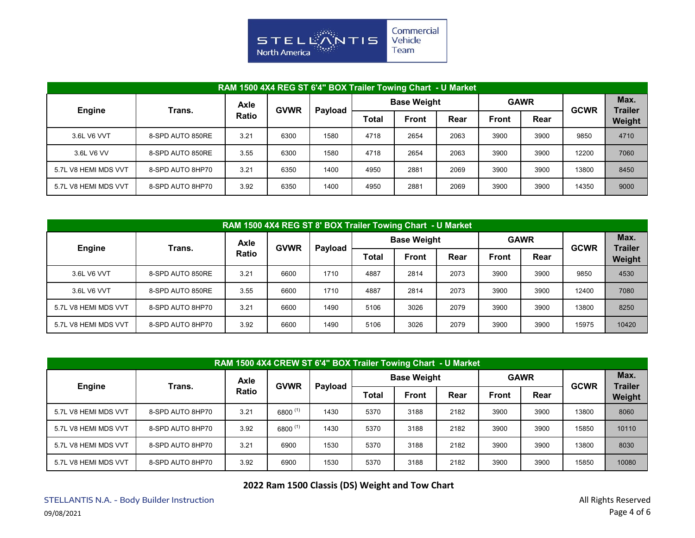

|                      | RAM 1500 4X4 REG ST 6'4" BOX Trailer Towing Chart - U Market |              |             |         |       |                    |      |              |             |             |                        |  |  |  |  |
|----------------------|--------------------------------------------------------------|--------------|-------------|---------|-------|--------------------|------|--------------|-------------|-------------|------------------------|--|--|--|--|
| <b>Engine</b>        | Trans.                                                       | <b>Axle</b>  | <b>GVWR</b> | Payload |       | <b>Base Weight</b> |      |              | <b>GAWR</b> | <b>GCWR</b> | Max.<br><b>Trailer</b> |  |  |  |  |
|                      |                                                              | <b>Ratio</b> |             |         | Total | <b>Front</b>       | Rear | <b>Front</b> | Rear        |             | Weight                 |  |  |  |  |
| 3.6L V6 VVT          | 8-SPD AUTO 850RE                                             | 3.21         | 6300        | 1580    | 4718  | 2654               | 2063 | 3900         | 3900        | 9850        | 4710                   |  |  |  |  |
| 3.6L V6 VV           | 8-SPD AUTO 850RE                                             | 3.55         | 6300        | 1580    | 4718  | 2654               | 2063 | 3900         | 3900        | 12200       | 7060                   |  |  |  |  |
| 5.7L V8 HEMI MDS VVT | 8-SPD AUTO 8HP70                                             | 3.21         | 6350        | 1400    | 4950  | 2881               | 2069 | 3900         | 3900        | 13800       | 8450                   |  |  |  |  |
| 5.7L V8 HEMI MDS VVT | 8-SPD AUTO 8HP70                                             | 3.92         | 6350        | 1400    | 4950  | 2881               | 2069 | 3900         | 3900        | 14350       | 9000                   |  |  |  |  |

|                      | RAM 1500 4X4 REG ST 8' BOX Trailer Towing Chart - U Market |              |             |         |       |                    |      |              |             |             |                        |  |  |  |  |
|----------------------|------------------------------------------------------------|--------------|-------------|---------|-------|--------------------|------|--------------|-------------|-------------|------------------------|--|--|--|--|
| <b>Engine</b>        | Trans.                                                     | Axle         | <b>GVWR</b> | Payload |       | <b>Base Weight</b> |      |              | <b>GAWR</b> | <b>GCWR</b> | Max.<br><b>Trailer</b> |  |  |  |  |
|                      |                                                            | <b>Ratio</b> |             |         | Total | Front              | Rear | <b>Front</b> | Rear        |             | Weight                 |  |  |  |  |
| 3.6L V6 VVT          | 8-SPD AUTO 850RE                                           | 3.21         | 6600        | 1710    | 4887  | 2814               | 2073 | 3900         | 3900        | 9850        | 4530                   |  |  |  |  |
| 3.6L V6 VVT          | 8-SPD AUTO 850RE                                           | 3.55         | 6600        | 1710    | 4887  | 2814               | 2073 | 3900         | 3900        | 12400       | 7080                   |  |  |  |  |
| 5.7L V8 HEMI MDS VVT | 8-SPD AUTO 8HP70                                           | 3.21         | 6600        | 1490    | 5106  | 3026               | 2079 | 3900         | 3900        | 13800       | 8250                   |  |  |  |  |
| 5.7L V8 HEMI MDS VVT | 8-SPD AUTO 8HP70                                           | 3.92         | 6600        | 1490    | 5106  | 3026               | 2079 | 3900         | 3900        | 15975       | 10420                  |  |  |  |  |

| RAM 1500 4X4 CREW ST 6'4" BOX Trailer Towing Chart - U Market |                  |       |              |         |       |                    |      |              |             |             |                        |  |  |  |
|---------------------------------------------------------------|------------------|-------|--------------|---------|-------|--------------------|------|--------------|-------------|-------------|------------------------|--|--|--|
|                                                               | Trans.           | Axle  | <b>GVWR</b>  |         |       | <b>Base Weight</b> |      |              | <b>GAWR</b> | <b>GCWR</b> | Max.<br><b>Trailer</b> |  |  |  |
| <b>Engine</b>                                                 |                  | Ratio |              | Payload | Total | <b>Front</b>       | Rear | <b>Front</b> | Rear        |             | Weight                 |  |  |  |
| 5.7L V8 HEMI MDS VVT                                          | 8-SPD AUTO 8HP70 | 3.21  | $6800^{(1)}$ | 1430    | 5370  | 3188               | 2182 | 3900         | 3900        | 13800       | 8060                   |  |  |  |
| 5.7L V8 HEMI MDS VVT                                          | 8-SPD AUTO 8HP70 | 3.92  | 6800 (1)     | 1430    | 5370  | 3188               | 2182 | 3900         | 3900        | 15850       | 10110                  |  |  |  |
| 5.7L V8 HEMI MDS VVT                                          | 8-SPD AUTO 8HP70 | 3.21  | 6900         | 1530    | 5370  | 3188               | 2182 | 3900         | 3900        | 13800       | 8030                   |  |  |  |
| 5.7L V8 HEMI MDS VVT                                          | 8-SPD AUTO 8HP70 | 3.92  | 6900         | 1530    | 5370  | 3188               | 2182 | 3900         | 3900        | 15850       | 10080                  |  |  |  |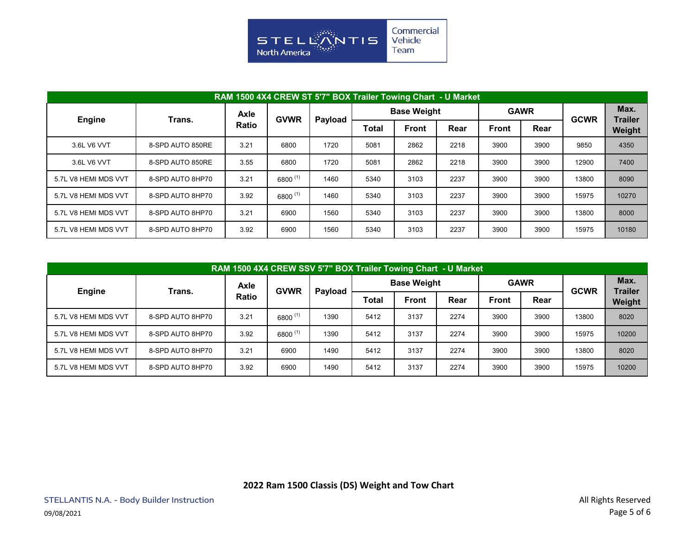

|                      | RAM 1500 4X4 CREW ST 5'7" BOX Trailer Towing Chart - U Market |              |             |         |       |                    |      |              |             |             |                        |  |  |  |  |
|----------------------|---------------------------------------------------------------|--------------|-------------|---------|-------|--------------------|------|--------------|-------------|-------------|------------------------|--|--|--|--|
|                      | Trans.                                                        | Axle         | <b>GVWR</b> | Payload |       | <b>Base Weight</b> |      |              | <b>GAWR</b> | <b>GCWR</b> | Max.<br><b>Trailer</b> |  |  |  |  |
| <b>Engine</b>        |                                                               | <b>Ratio</b> |             |         | Total | <b>Front</b>       | Rear | <b>Front</b> | Rear        |             | Weight                 |  |  |  |  |
| 3.6L V6 VVT          | 8-SPD AUTO 850RE                                              | 3.21         | 6800        | 1720    | 5081  | 2862               | 2218 | 3900         | 3900        | 9850        | 4350                   |  |  |  |  |
| 3.6L V6 VVT          | 8-SPD AUTO 850RE                                              | 3.55         | 6800        | 1720    | 5081  | 2862               | 2218 | 3900         | 3900        | 12900       | 7400                   |  |  |  |  |
| 5.7L V8 HEMI MDS VVT | 8-SPD AUTO 8HP70                                              | 3.21         | 6800 (1)    | 1460    | 5340  | 3103               | 2237 | 3900         | 3900        | 13800       | 8090                   |  |  |  |  |
| 5.7L V8 HEMI MDS VVT | 8-SPD AUTO 8HP70                                              | 3.92         | 6800 (1)    | 1460    | 5340  | 3103               | 2237 | 3900         | 3900        | 15975       | 10270                  |  |  |  |  |
| 5.7L V8 HEMI MDS VVT | 8-SPD AUTO 8HP70                                              | 3.21         | 6900        | 1560    | 5340  | 3103               | 2237 | 3900         | 3900        | 13800       | 8000                   |  |  |  |  |
| 5.7L V8 HEMI MDS VVT | 8-SPD AUTO 8HP70                                              | 3.92         | 6900        | 1560    | 5340  | 3103               | 2237 | 3900         | 3900        | 15975       | 10180                  |  |  |  |  |

|                      | RAM 1500 4X4 CREW SSV 5'7" BOX Trailer Towing Chart - U Market |              |             |         |       |                    |      |              |             |             |                        |  |  |  |  |
|----------------------|----------------------------------------------------------------|--------------|-------------|---------|-------|--------------------|------|--------------|-------------|-------------|------------------------|--|--|--|--|
| <b>Engine</b>        | Trans.                                                         | <b>Axle</b>  | <b>GVWR</b> | Payload |       | <b>Base Weight</b> |      |              | <b>GAWR</b> | <b>GCWR</b> | Max.<br><b>Trailer</b> |  |  |  |  |
|                      |                                                                | <b>Ratio</b> |             |         | Total | <b>Front</b>       | Rear | <b>Front</b> | Rear        |             | Weight                 |  |  |  |  |
| 5.7L V8 HEMI MDS VVT | 8-SPD AUTO 8HP70                                               | 3.21         | 6800 (1)    | 1390    | 5412  | 3137               | 2274 | 3900         | 3900        | 13800       | 8020                   |  |  |  |  |
| 5.7L V8 HEMI MDS VVT | 8-SPD AUTO 8HP70                                               | 3.92         | 6800 (1)    | 1390    | 5412  | 3137               | 2274 | 3900         | 3900        | 15975       | 10200                  |  |  |  |  |
| 5.7L V8 HEMI MDS VVT | 8-SPD AUTO 8HP70                                               | 3.21         | 6900        | 1490    | 5412  | 3137               | 2274 | 3900         | 3900        | 13800       | 8020                   |  |  |  |  |
| 5.7L V8 HEMI MDS VVT | 8-SPD AUTO 8HP70                                               | 3.92         | 6900        | 1490    | 5412  | 3137               | 2274 | 3900         | 3900        | 15975       | 10200                  |  |  |  |  |